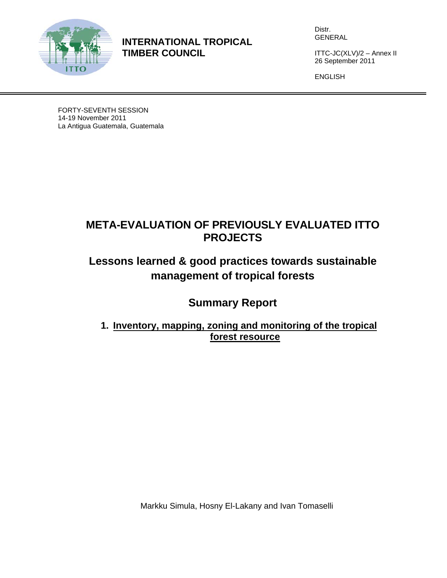

**INTERNATIONAL TROPICAL TIMBER COUNCIL** 

Distr. GENERAL

ITTC-JC(XLV)/2 – Annex II 26 September 2011

ENGLISH

FORTY-SEVENTH SESSION 14-19 November 2011 La Antigua Guatemala, Guatemala

# **META-EVALUATION OF PREVIOUSLY EVALUATED ITTO PROJECTS**

# **Lessons learned & good practices towards sustainable management of tropical forests**

**Summary Report** 

**1. Inventory, mapping, zoning and monitoring of the tropical forest resource** 

Markku Simula, Hosny El-Lakany and Ivan Tomaselli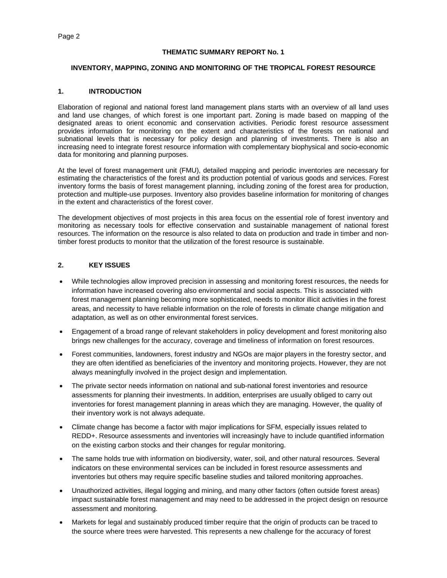#### **THEMATIC SUMMARY REPORT No. 1**

#### **INVENTORY, MAPPING, ZONING AND MONITORING OF THE TROPICAL FOREST RESOURCE**

#### **1. INTRODUCTION**

Elaboration of regional and national forest land management plans starts with an overview of all land uses and land use changes, of which forest is one important part. Zoning is made based on mapping of the designated areas to orient economic and conservation activities. Periodic forest resource assessment provides information for monitoring on the extent and characteristics of the forests on national and subnational levels that is necessary for policy design and planning of investments. There is also an increasing need to integrate forest resource information with complementary biophysical and socio-economic data for monitoring and planning purposes.

At the level of forest management unit (FMU), detailed mapping and periodic inventories are necessary for estimating the characteristics of the forest and its production potential of various goods and services. Forest inventory forms the basis of forest management planning, including zoning of the forest area for production, protection and multiple-use purposes. Inventory also provides baseline information for monitoring of changes in the extent and characteristics of the forest cover.

The development objectives of most projects in this area focus on the essential role of forest inventory and monitoring as necessary tools for effective conservation and sustainable management of national forest resources. The information on the resource is also related to data on production and trade in timber and nontimber forest products to monitor that the utilization of the forest resource is sustainable.

# **2. KEY ISSUES**

- While technologies allow improved precision in assessing and monitoring forest resources, the needs for information have increased covering also environmental and social aspects. This is associated with forest management planning becoming more sophisticated, needs to monitor illicit activities in the forest areas, and necessity to have reliable information on the role of forests in climate change mitigation and adaptation, as well as on other environmental forest services.
- Engagement of a broad range of relevant stakeholders in policy development and forest monitoring also brings new challenges for the accuracy, coverage and timeliness of information on forest resources.
- Forest communities, landowners, forest industry and NGOs are major players in the forestry sector, and they are often identified as beneficiaries of the inventory and monitoring projects. However, they are not always meaningfully involved in the project design and implementation.
- The private sector needs information on national and sub-national forest inventories and resource assessments for planning their investments. In addition, enterprises are usually obliged to carry out inventories for forest management planning in areas which they are managing. However, the quality of their inventory work is not always adequate.
- Climate change has become a factor with major implications for SFM, especially issues related to REDD+. Resource assessments and inventories will increasingly have to include quantified information on the existing carbon stocks and their changes for regular monitoring.
- The same holds true with information on biodiversity, water, soil, and other natural resources. Several indicators on these environmental services can be included in forest resource assessments and inventories but others may require specific baseline studies and tailored monitoring approaches.
- Unauthorized activities, illegal logging and mining, and many other factors (often outside forest areas) impact sustainable forest management and may need to be addressed in the project design on resource assessment and monitoring.
- Markets for legal and sustainably produced timber require that the origin of products can be traced to the source where trees were harvested. This represents a new challenge for the accuracy of forest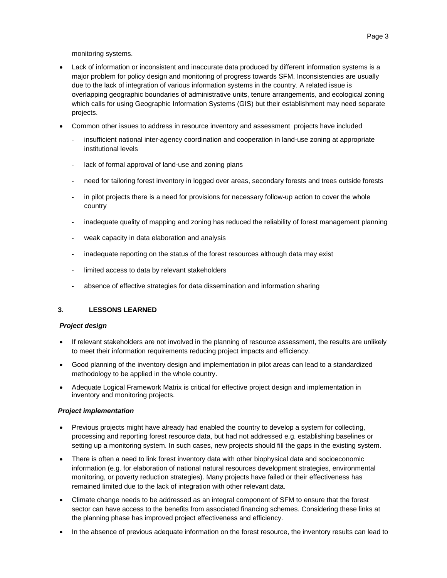monitoring systems.

- Lack of information or inconsistent and inaccurate data produced by different information systems is a major problem for policy design and monitoring of progress towards SFM. Inconsistencies are usually due to the lack of integration of various information systems in the country. A related issue is overlapping geographic boundaries of administrative units, tenure arrangements, and ecological zoning which calls for using Geographic Information Systems (GIS) but their establishment may need separate projects.
- Common other issues to address in resource inventory and assessment projects have included
	- insufficient national inter-agency coordination and cooperation in land-use zoning at appropriate institutional levels
	- lack of formal approval of land-use and zoning plans
	- ‐ need for tailoring forest inventory in logged over areas, secondary forests and trees outside forests
	- in pilot projects there is a need for provisions for necessary follow-up action to cover the whole country
	- inadequate quality of mapping and zoning has reduced the reliability of forest management planning
	- weak capacity in data elaboration and analysis
	- ‐ inadequate reporting on the status of the forest resources although data may exist
	- limited access to data by relevant stakeholders
	- ‐ absence of effective strategies for data dissemination and information sharing

## **3. LESSONS LEARNED**

#### *Project design*

- If relevant stakeholders are not involved in the planning of resource assessment, the results are unlikely to meet their information requirements reducing project impacts and efficiency.
- Good planning of the inventory design and implementation in pilot areas can lead to a standardized methodology to be applied in the whole country.
- Adequate Logical Framework Matrix is critical for effective project design and implementation in inventory and monitoring projects.

#### *Project implementation*

- Previous projects might have already had enabled the country to develop a system for collecting, processing and reporting forest resource data, but had not addressed e.g. establishing baselines or setting up a monitoring system. In such cases, new projects should fill the gaps in the existing system.
- There is often a need to link forest inventory data with other biophysical data and socioeconomic information (e.g. for elaboration of national natural resources development strategies, environmental monitoring, or poverty reduction strategies). Many projects have failed or their effectiveness has remained limited due to the lack of integration with other relevant data.
- Climate change needs to be addressed as an integral component of SFM to ensure that the forest sector can have access to the benefits from associated financing schemes. Considering these links at the planning phase has improved project effectiveness and efficiency.
- In the absence of previous adequate information on the forest resource, the inventory results can lead to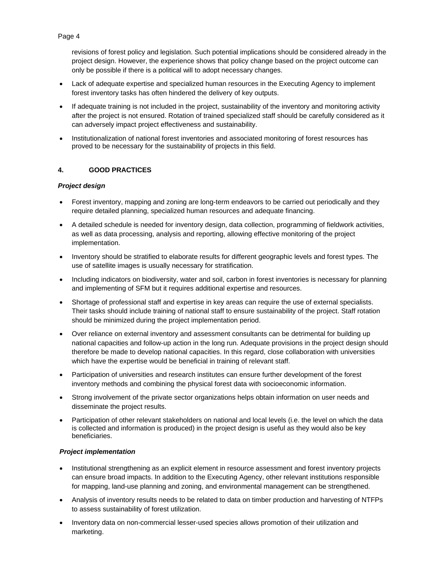revisions of forest policy and legislation. Such potential implications should be considered already in the project design. However, the experience shows that policy change based on the project outcome can only be possible if there is a political will to adopt necessary changes.

- Lack of adequate expertise and specialized human resources in the Executing Agency to implement forest inventory tasks has often hindered the delivery of key outputs.
- If adequate training is not included in the project, sustainability of the inventory and monitoring activity after the project is not ensured. Rotation of trained specialized staff should be carefully considered as it can adversely impact project effectiveness and sustainability.
- Institutionalization of national forest inventories and associated monitoring of forest resources has proved to be necessary for the sustainability of projects in this field.

## **4. GOOD PRACTICES**

# *Project design*

- Forest inventory, mapping and zoning are long-term endeavors to be carried out periodically and they require detailed planning, specialized human resources and adequate financing.
- A detailed schedule is needed for inventory design, data collection, programming of fieldwork activities, as well as data processing, analysis and reporting, allowing effective monitoring of the project implementation.
- Inventory should be stratified to elaborate results for different geographic levels and forest types. The use of satellite images is usually necessary for stratification.
- Including indicators on biodiversity, water and soil, carbon in forest inventories is necessary for planning and implementing of SFM but it requires additional expertise and resources.
- Shortage of professional staff and expertise in key areas can require the use of external specialists. Their tasks should include training of national staff to ensure sustainability of the project. Staff rotation should be minimized during the project implementation period.
- Over reliance on external inventory and assessment consultants can be detrimental for building up national capacities and follow-up action in the long run. Adequate provisions in the project design should therefore be made to develop national capacities. In this regard, close collaboration with universities which have the expertise would be beneficial in training of relevant staff.
- Participation of universities and research institutes can ensure further development of the forest inventory methods and combining the physical forest data with socioeconomic information.
- Strong involvement of the private sector organizations helps obtain information on user needs and disseminate the project results.
- Participation of other relevant stakeholders on national and local levels (i.e. the level on which the data is collected and information is produced) in the project design is useful as they would also be key beneficiaries.

## *Project implementation*

- Institutional strengthening as an explicit element in resource assessment and forest inventory projects can ensure broad impacts. In addition to the Executing Agency, other relevant institutions responsible for mapping, land-use planning and zoning, and environmental management can be strengthened.
- Analysis of inventory results needs to be related to data on timber production and harvesting of NTFPs to assess sustainability of forest utilization.
- Inventory data on non-commercial lesser-used species allows promotion of their utilization and marketing.

# Page 4